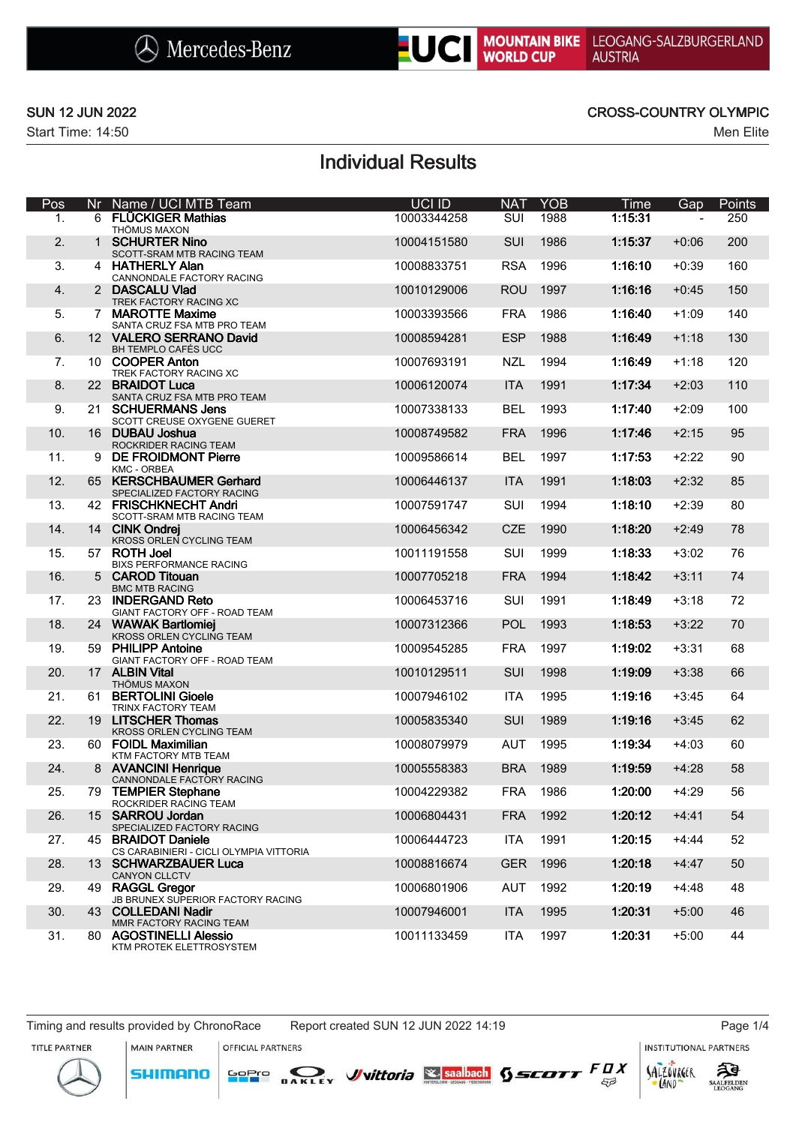



### SUN 12 JUN 2022 CROSS-COUNTRY OLYMPIC

# Individual Results

| Pos | Nr | Name / UCI MTB Team                                           | UCI ID      | <b>NAT</b> | <b>YOB</b> | <b>Time</b> | Gap     | Points |
|-----|----|---------------------------------------------------------------|-------------|------------|------------|-------------|---------|--------|
| 1.  |    | 6 FLÜCKIGER Mathias<br>THÖMUS MAXON                           | 10003344258 | SUI        | 1988       | 1:15:31     |         | 250    |
| 2.  |    | 1 SCHURTER Nino                                               | 10004151580 | <b>SUI</b> | 1986       | 1:15:37     | $+0:06$ | 200    |
| 3.  |    | SCOTT-SRAM MTB RACING TEAM<br>4 HATHERLY Alan                 | 10008833751 | <b>RSA</b> | 1996       | 1:16:10     | $+0:39$ | 160    |
| 4.  |    | CANNONDALE FACTORY RACING<br>2 DASCALU Vlad                   | 10010129006 | <b>ROU</b> | 1997       | 1:16:16     | $+0:45$ | 150    |
|     |    | TREK FACTORY RACING XC                                        |             |            |            |             |         |        |
| 5.  |    | 7 MAROTTE Maxime<br>SANTA CRUZ FSA MTB PRO TEAM               | 10003393566 | <b>FRA</b> | 1986       | 1:16:40     | $+1:09$ | 140    |
| 6.  |    | 12 VALERO SERRANO David<br>BH TEMPLO CAFÉS UCC                | 10008594281 | <b>ESP</b> | 1988       | 1:16:49     | $+1:18$ | 130    |
| 7.  |    | 10 COOPER Anton<br>TREK FACTORY RACING XC                     | 10007693191 | <b>NZL</b> | 1994       | 1:16:49     | +1:18   | 120    |
| 8.  |    | 22 BRAIDOT Luca                                               | 10006120074 | <b>ITA</b> | 1991       | 1:17:34     | $+2:03$ | 110    |
| 9.  |    | SANTA CRUZ FSA MTB PRO TEAM<br>21 SCHUERMANS Jens             | 10007338133 | <b>BEL</b> | 1993       | 1:17:40     | $+2:09$ | 100    |
| 10. |    | SCOTT CREUSE OXYGENE GUERET<br>16 DUBAU Joshua                | 10008749582 | <b>FRA</b> | 1996       | 1:17:46     | $+2:15$ | 95     |
| 11. | 9  | ROCKRIDER RACING TEAM<br><b>DE FROIDMONT Pierre</b>           | 10009586614 | <b>BEL</b> | 1997       | 1:17:53     | $+2:22$ | 90     |
|     |    | KMC - ORBEA                                                   |             |            |            |             |         |        |
| 12. |    | 65 KERSCHBAUMER Gerhard<br>SPECIALIZED FACTORY RACING         | 10006446137 | <b>ITA</b> | 1991       | 1:18:03     | $+2:32$ | 85     |
| 13. |    | 42 FRISCHKNECHT Andri<br>SCOTT-SRAM MTB RACING TEAM           | 10007591747 | SUI        | 1994       | 1:18:10     | $+2:39$ | 80     |
| 14. |    | 14 CINK Ondrei<br>KROSS ORLEN CYCLING TEAM                    | 10006456342 | <b>CZE</b> | 1990       | 1:18:20     | $+2:49$ | 78     |
| 15. |    | 57 ROTH Joel<br><b>BIXS PERFORMANCE RACING</b>                | 10011191558 | SUI        | 1999       | 1:18:33     | $+3:02$ | 76     |
| 16. |    | 5 CAROD Titouan<br><b>BMC MTB RACING</b>                      | 10007705218 | <b>FRA</b> | 1994       | 1:18:42     | $+3:11$ | 74     |
| 17. |    | 23 INDERGAND Reto                                             | 10006453716 | <b>SUI</b> | 1991       | 1:18:49     | $+3:18$ | 72     |
| 18. |    | GIANT FACTORY OFF - ROAD TEAM<br>24 WAWAK Bartlomiej          | 10007312366 | <b>POL</b> | 1993       | 1:18:53     | $+3:22$ | 70     |
| 19. | 59 | KROSS ORLEN CYCLING TEAM<br><b>PHILIPP Antoine</b>            | 10009545285 | <b>FRA</b> | 1997       | 1:19:02     | $+3:31$ | 68     |
| 20. |    | GIANT FACTORY OFF - ROAD TEAM<br>17 ALBIN Vital               | 10010129511 | SUI        | 1998       | 1:19:09     | $+3:38$ | 66     |
| 21. |    | <b>THÖMUS MAXON</b><br>61 BERTOLINI Gioele                    | 10007946102 | <b>ITA</b> | 1995       | 1:19:16     | $+3:45$ | 64     |
|     |    | TRINX FACTORY TEAM                                            |             |            |            |             |         |        |
| 22. |    | 19 LITSCHER Thomas<br>KROSS ORLEN CYCLING TEAM                | 10005835340 | SUI        | 1989       | 1:19:16     | $+3:45$ | 62     |
| 23. |    | 60 FOIDL Maximilian<br>KTM FACTORY MTB TEAM                   | 10008079979 | <b>AUT</b> | 1995       | 1:19:34     | +4:03   | 60     |
| 24. |    | 8 AVANCINI Henrique<br>CANNONDALE FACTORY RACING              | 10005558383 | <b>BRA</b> | 1989       | 1:19:59     | $+4:28$ | 58     |
| 25. | 79 | <b>TEMPIER Stephane</b><br>ROCKRIDER RACING TEAM              | 10004229382 | <b>FRA</b> | 1986       | 1:20:00     | $+4:29$ | 56     |
| 26. |    | 15 SARROU Jordan<br>SPECIALIZED FACTORY RACING                | 10006804431 | <b>FRA</b> | 1992       | 1:20:12     | $+4:41$ | 54     |
| 27. |    | 45 BRAIDOT Daniele<br>CS CARABINIERI - CICLI OLYMPIA VITTORIA | 10006444723 | ITA        | 1991       | 1:20:15     | $+4:44$ | 52     |
| 28. |    | 13 SCHWARZBAUER Luca<br><b>CANYON CLLCTV</b>                  | 10008816674 | <b>GER</b> | 1996       | 1:20:18     | $+4:47$ | 50     |
| 29. |    | 49 RAGGL Gregor<br>JB BRUNEX SUPERIOR FACTORY RACING          | 10006801906 | AUT        | 1992       | 1:20:19     | $+4:48$ | 48     |
| 30. |    | 43 COLLEDANI Nadir                                            | 10007946001 | <b>ITA</b> | 1995       | 1:20:31     | $+5:00$ | 46     |
| 31. |    | MMR FACTORY RACING TEAM<br>80 AGOSTINELLI Alessio             | 10011133459 | <b>ITA</b> | 1997       | 1:20:31     | $+5:00$ | 44     |
|     |    | KTM PROTEK ELETTROSYSTEM                                      |             |            |            |             |         |        |

Timing and results provided by ChronoRace Report created SUN 12 JUN 2022 14:19 Page 1/4

**SHIMANO** 

**MAIN PARTNER** OFFICIAL PARTNERS

**INSTITUTIONAL PARTNERS** 

TITLE PARTNER



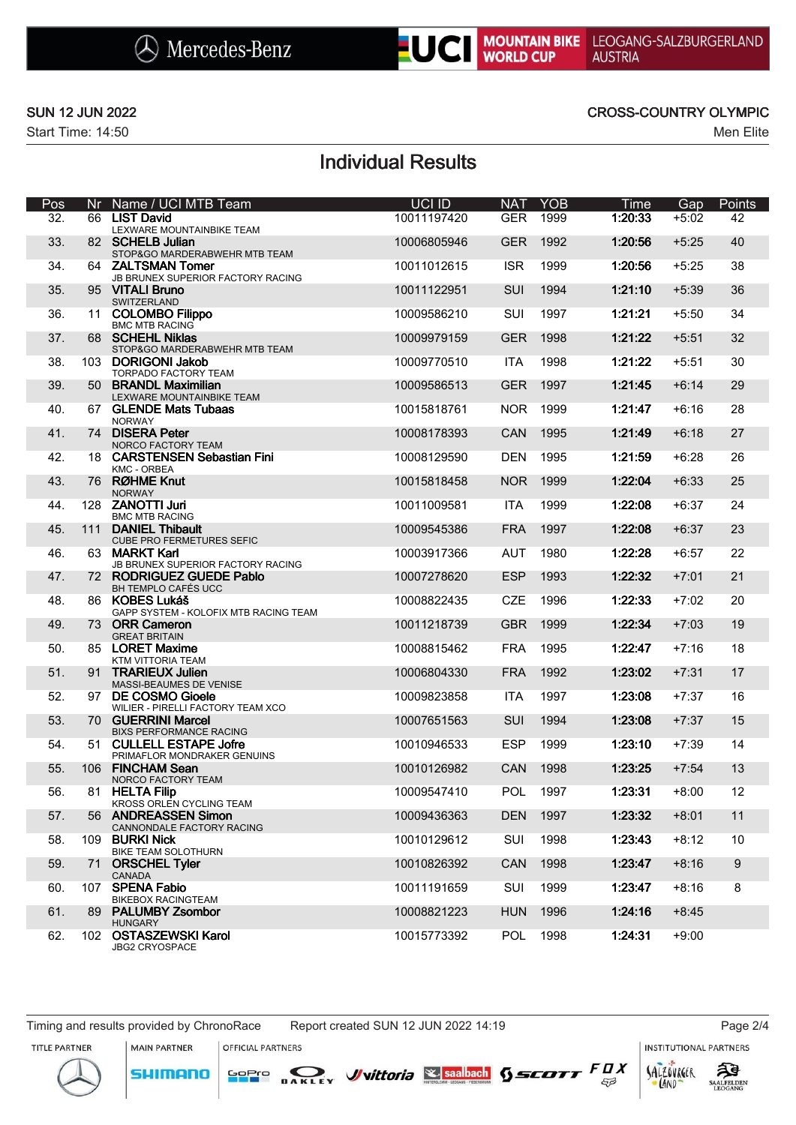

### SUN 12 JUN 2022 CROSS-COUNTRY OLYMPIC

# Individual Results

| Pos | Nr. | Name / UCI MTB Team                                     | UCI ID      | <b>NAT</b> | <b>YOB</b> | Time    | Gap     | Points           |
|-----|-----|---------------------------------------------------------|-------------|------------|------------|---------|---------|------------------|
| 32. |     | 66 LIST David<br>LEXWARE MOUNTAINBIKE TEAM              | 10011197420 | <b>GER</b> | 1999       | 1:20:33 | $+5:02$ | 42               |
| 33. |     | 82 SCHELB Julian<br>STOP&GO MARDERABWEHR MTB TEAM       | 10006805946 | <b>GER</b> | 1992       | 1:20:56 | $+5:25$ | 40               |
| 34. |     | 64 ZALTSMAN Tomer<br>JB BRUNEX SUPERIOR FACTORY RACING  | 10011012615 | <b>ISR</b> | 1999       | 1:20:56 | $+5:25$ | 38               |
| 35. |     | 95 VITALI Bruno<br>SWITZERLAND                          | 10011122951 | <b>SUI</b> | 1994       | 1:21:10 | $+5:39$ | 36               |
| 36. |     | 11 COLOMBO Filippo<br><b>BMC MTB RACING</b>             | 10009586210 | <b>SUI</b> | 1997       | 1:21:21 | +5:50   | 34               |
| 37. |     | 68 SCHEHL Niklas<br>STOP&GO MARDERABWEHR MTB TEAM       | 10009979159 | <b>GER</b> | 1998       | 1:21:22 | $+5:51$ | 32               |
| 38. |     | 103 DORIGONI Jakob<br>TORPADO FACTORY TEAM              | 10009770510 | <b>ITA</b> | 1998       | 1:21:22 | $+5:51$ | 30               |
| 39. |     | 50 BRANDL Maximilian<br>LEXWARE MOUNTAINBIKE TEAM       | 10009586513 | <b>GER</b> | 1997       | 1:21:45 | $+6:14$ | 29               |
| 40. |     | 67 GLENDE Mats Tubaas<br><b>NORWAY</b>                  | 10015818761 | <b>NOR</b> | 1999       | 1:21:47 | +6:16   | 28               |
| 41. |     | 74 DISERA Peter<br>NORCO FACTORY TEAM                   | 10008178393 | CAN        | 1995       | 1:21:49 | $+6:18$ | 27               |
| 42. |     | 18 CARSTENSEN Sebastian Fini<br><b>KMC - ORBEA</b>      | 10008129590 | <b>DEN</b> | 1995       | 1:21:59 | +6:28   | 26               |
| 43. |     | 76 RØHME Knut<br><b>NORWAY</b>                          | 10015818458 | <b>NOR</b> | 1999       | 1:22:04 | $+6:33$ | 25               |
| 44. |     | 128 ZANOTTI Juri<br><b>BMC MTB RACING</b>               | 10011009581 | <b>ITA</b> | 1999       | 1:22:08 | +6:37   | 24               |
| 45. |     | 111 DANIEL Thibault<br><b>CUBE PRO FERMETURES SEFIC</b> | 10009545386 | <b>FRA</b> | 1997       | 1:22:08 | $+6:37$ | 23               |
| 46. |     | 63 MARKT Karl<br>JB BRUNEX SUPERIOR FACTORY RACING      | 10003917366 | <b>AUT</b> | 1980       | 1:22:28 | +6:57   | 22               |
| 47. |     | 72 RODRIGUEZ GUEDE Pablo<br>BH TEMPLO CAFÉS UCC         | 10007278620 | <b>ESP</b> | 1993       | 1:22:32 | $+7:01$ | 21               |
| 48. |     | 86 KOBES Lukáš<br>GAPP SYSTEM - KOLOFIX MTB RACING TEAM | 10008822435 | <b>CZE</b> | 1996       | 1:22:33 | $+7:02$ | 20               |
| 49. |     | 73 ORR Cameron<br><b>GREAT BRITAIN</b>                  | 10011218739 | <b>GBR</b> | 1999       | 1:22:34 | $+7:03$ | 19               |
| 50. |     | 85 LORET Maxime<br>KTM VITTORIA TEAM                    | 10008815462 | <b>FRA</b> | 1995       | 1:22:47 | +7:16   | 18               |
| 51. |     | 91 TRARIEUX Julien<br>MASSI-BEAUMES DE VENISE           | 10006804330 | <b>FRA</b> | 1992       | 1:23:02 | $+7:31$ | 17               |
| 52. |     | 97 DE COSMO Gioele<br>WILIER - PIRELLI FACTORY TEAM XCO | 10009823858 | <b>ITA</b> | 1997       | 1:23:08 | +7:37   | 16               |
| 53. |     | 70 GUERRINI Marcel<br><b>BIXS PERFORMANCE RACING</b>    | 10007651563 | <b>SUI</b> | 1994       | 1:23:08 | +7:37   | 15               |
| 54. |     | 51 CULLELL ESTAPE Jofre<br>PRIMAFLOR MONDRAKER GENUINS  | 10010946533 | <b>ESP</b> | 1999       | 1:23:10 | +7:39   | 14               |
| 55. | 106 | <b>FINCHAM Sean</b><br>NORCO FACTORY TEAM               | 10010126982 | <b>CAN</b> | 1998       | 1:23:25 | $+7:54$ | 13               |
| 56. |     | 81 HELTA Filip<br>KROSS ORLEN CYCLING TEAM              | 10009547410 | POL        | 1997       | 1:23:31 | $+8:00$ | 12               |
| 57. |     | 56 ANDREASSEN Simon<br>CANNONDALE FACTORY RACING        | 10009436363 | <b>DEN</b> | 1997       | 1:23:32 | $+8:01$ | 11               |
| 58. |     | 109 BURKI Nick<br>BIKE TEAM SOLOTHURN                   | 10010129612 | SUI        | 1998       | 1:23:43 | $+8:12$ | 10               |
| 59. |     | 71 ORSCHEL Tyler<br>CANADA                              | 10010826392 | CAN        | 1998       | 1:23:47 | $+8:16$ | $\boldsymbol{9}$ |
| 60. |     | 107 SPENA Fabio<br><b>BIKEBOX RACINGTEAM</b>            | 10011191659 | SUI        | 1999       | 1:23:47 | $+8:16$ | 8                |
| 61. | 89  | <b>PALUMBY Zsombor</b><br><b>HUNGARY</b>                | 10008821223 | <b>HUN</b> | 1996       | 1:24:16 | $+8:45$ |                  |
| 62. |     | 102 OSTASZEWSKI Karol<br>JBG2 CRYOSPACE                 | 10015773392 | <b>POL</b> | 1998       | 1:24:31 | $+9:00$ |                  |

Timing and results provided by ChronoRace Report created SUN 12 JUN 2022 14:19 Page 2/4

**MAIN PARTNER** 

**SHIMANO** 

OFFICIAL PARTNERS

**INSTITUTIONAL PARTNERS** 

TITLE PARTNER





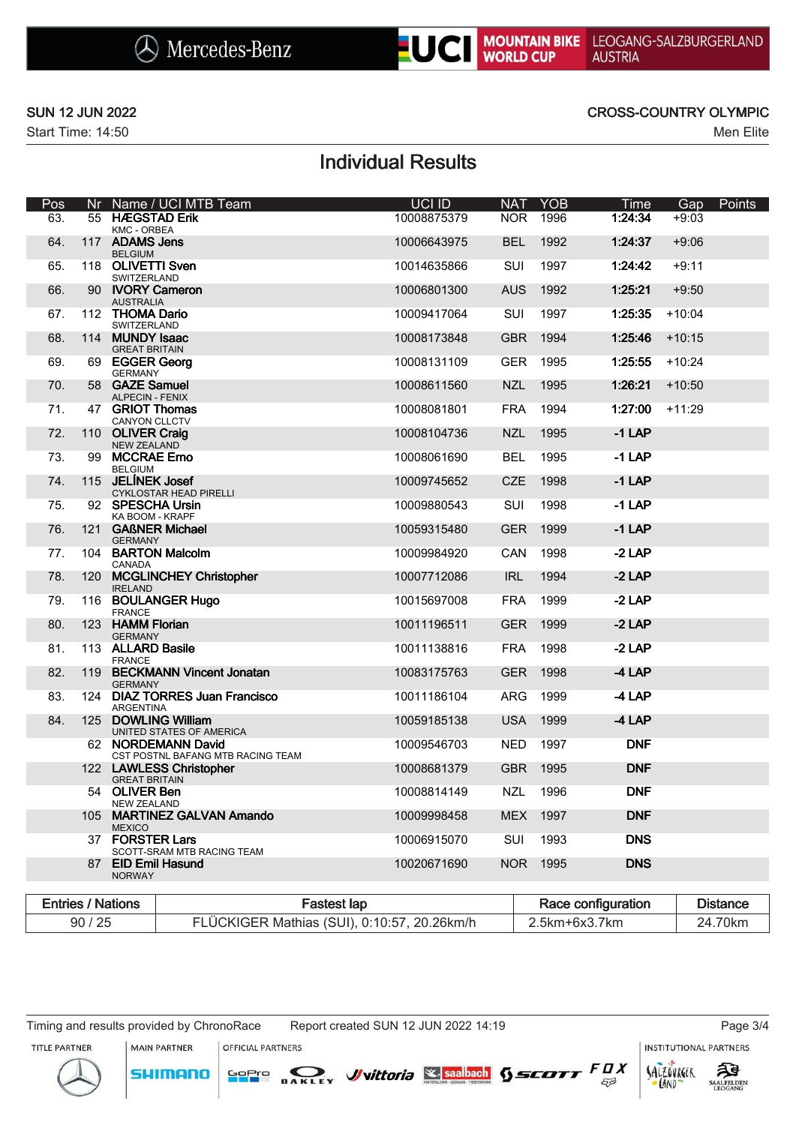

### SUN 12 JUN 2022 CROSS-COUNTRY OLYMPIC

# Individual Results

| Pos                      |     |                                          | Nr Name / UCI MTB Team                                  |                    | <b>UCI ID</b> | <b>NAT</b> | <b>YOB</b> | Time               | Gap      | Points          |
|--------------------------|-----|------------------------------------------|---------------------------------------------------------|--------------------|---------------|------------|------------|--------------------|----------|-----------------|
| 63.                      |     | 55 HÆGSTAD Erik<br><b>KMC - ORBEA</b>    |                                                         |                    | 10008875379   | <b>NOR</b> | 1996       | 1:24:34            | $+9:03$  |                 |
| 64.                      |     | 117 ADAMS Jens<br><b>BELGIUM</b>         |                                                         |                    | 10006643975   | <b>BEL</b> | 1992       | 1:24:37            | $+9:06$  |                 |
| 65.                      |     | 118 OLIVETTI Sven<br>SWITZERLAND         |                                                         |                    | 10014635866   | SUI        | 1997       | 1:24:42            | $+9:11$  |                 |
| 66.                      |     | <b>AUSTRALIA</b>                         | 90 IVORY Cameron                                        |                    | 10006801300   | <b>AUS</b> | 1992       | 1:25:21            | $+9:50$  |                 |
| 67.                      |     | 112 THOMA Dario<br>SWITZERLAND           |                                                         |                    | 10009417064   | SUI        | 1997       | 1:25:35            | $+10:04$ |                 |
| 68.                      |     | 114 MUNDY Isaac<br><b>GREAT BRITAIN</b>  |                                                         |                    | 10008173848   | <b>GBR</b> | 1994       | 1:25:46            | $+10:15$ |                 |
| 69.                      |     | 69 EGGER Georg<br><b>GERMANY</b>         |                                                         |                    | 10008131109   | <b>GER</b> | 1995       | 1:25:55            | $+10:24$ |                 |
| 70.                      |     | 58 GAZE Samuel<br><b>ALPECIN - FENIX</b> |                                                         |                    | 10008611560   | <b>NZL</b> | 1995       | 1:26:21            | $+10:50$ |                 |
| 71.                      |     | 47 GRIOT Thomas<br>CANYON CLLCTV         |                                                         |                    | 10008081801   | <b>FRA</b> | 1994       | 1:27:00            | $+11:29$ |                 |
| 72.                      |     | 110 OLIVER Craig<br><b>NEW ZEALAND</b>   |                                                         |                    | 10008104736   | <b>NZL</b> | 1995       | $-1$ LAP           |          |                 |
| 73.                      | 99  | <b>MCCRAE Erno</b><br><b>BELGIUM</b>     |                                                         |                    | 10008061690   | <b>BEL</b> | 1995       | $-1$ LAP           |          |                 |
| 74.                      |     | 115 JELÍNEK Josef                        | <b>CYKLOSTAR HEAD PIRELLI</b>                           |                    | 10009745652   | CZE        | 1998       | $-1$ LAP           |          |                 |
| 75.                      |     | 92 SPESCHA Ursin<br>KA BOOM - KRAPF      |                                                         |                    | 10009880543   | SUI        | 1998       | $-1$ LAP           |          |                 |
| 76.                      |     | <b>GERMANY</b>                           | 121 GAßNER Michael                                      |                    | 10059315480   | <b>GER</b> | 1999       | $-1$ LAP           |          |                 |
| 77.                      |     | CANADA                                   | 104 BARTON Malcolm                                      |                    | 10009984920   | CAN        | 1998       | $-2$ LAP           |          |                 |
| 78.                      |     | <b>IRELAND</b>                           | 120 MCGLINCHEY Christopher                              |                    | 10007712086   | <b>IRL</b> | 1994       | $-2$ LAP           |          |                 |
| 79.                      |     | <b>FRANCE</b>                            | 116 BOULANGER Hugo                                      |                    | 10015697008   | <b>FRA</b> | 1999       | $-2$ LAP           |          |                 |
| 80.                      | 123 | <b>HAMM Florian</b><br><b>GERMANY</b>    |                                                         |                    | 10011196511   | <b>GER</b> | 1999       | $-2$ LAP           |          |                 |
| 81.                      |     | 113 ALLARD Basile<br><b>FRANCE</b>       |                                                         |                    | 10011138816   | <b>FRA</b> | 1998       | $-2$ LAP           |          |                 |
| 82.                      |     | <b>GERMANY</b>                           | 119 BECKMANN Vincent Jonatan                            |                    | 10083175763   | <b>GER</b> | 1998       | $-4$ LAP           |          |                 |
| 83.                      |     | <b>ARGENTINA</b>                         | 124 DIAZ TORRES Juan Francisco                          |                    | 10011186104   | ARG        | 1999       | $-4$ LAP           |          |                 |
| 84.                      |     |                                          | 125 DOWLING William<br>UNITED STATES OF AMERICA         |                    | 10059185138   | <b>USA</b> | 1999       | $-4$ LAP           |          |                 |
|                          |     |                                          | 62 NORDEMANN David<br>CST POSTNL BAFANG MTB RACING TEAM |                    | 10009546703   | <b>NED</b> | 1997       | <b>DNF</b>         |          |                 |
|                          |     | <b>GREAT BRITAIN</b>                     | 122 LAWLESS Christopher                                 |                    | 10008681379   | <b>GBR</b> | 1995       | <b>DNF</b>         |          |                 |
|                          |     | 54 OLIVER Ben<br><b>NEW ZEALAND</b>      |                                                         |                    | 10008814149   | <b>NZL</b> | 1996       | <b>DNF</b>         |          |                 |
|                          |     | <b>MEXICO</b>                            | 105 MARTINEZ GALVAN Amando                              |                    | 10009998458   | MEX        | 1997       | <b>DNF</b>         |          |                 |
|                          |     | 37 FORSTER Lars                          | SCOTT-SRAM MTB RACING TEAM                              |                    | 10006915070   | SUI        | 1993       | <b>DNS</b>         |          |                 |
|                          |     | 87 EID Emil Hasund<br><b>NORWAY</b>      |                                                         |                    | 10020671690   |            | NOR 1995   | <b>DNS</b>         |          |                 |
| <b>Entries / Nations</b> |     |                                          |                                                         | <b>Fastest lap</b> |               |            |            | Race configuration |          | <b>Distance</b> |

| Entries<br><b>Nations</b> | astest lap                                  | <b>Race configuration</b> | <b>Distance</b> |  |
|---------------------------|---------------------------------------------|---------------------------|-----------------|--|
| 90/25                     | FLÜCKIGER Mathias (SUI), 0:10:57, 20.26km/h | 7km<br>5km+6x3            | 70km<br>24      |  |

MAIN PARTNER

**SHIMANO** 

Timing and results provided by ChronoRace Report created SUN 12 JUN 2022 14:19 Page 3/4

**INSTITUTIONAL PARTNERS** 

ट्रीडे

AALFELDEN

TITLE PARTNER



OFFICIAL PARTNERS